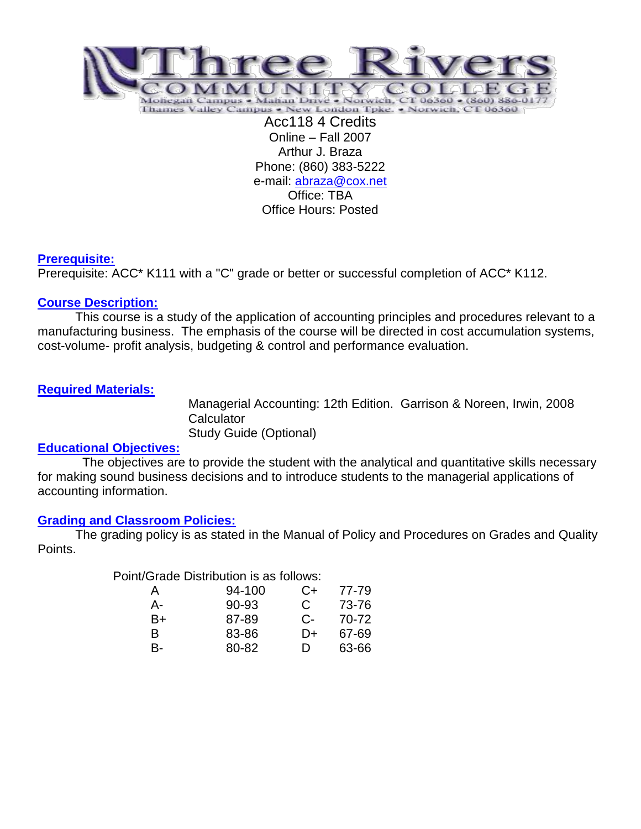

Online – Fall 2007 Arthur J. Braza Phone: (860) 383-5222 e-mail: [abraza@cox.net](mailto:abraza@cox.net) Office: TBA Office Hours: Posted

## **Prerequisite:**

Prerequisite: ACC\* K111 with a "C" grade or better or successful completion of ACC\* K112.

# **Course Description:**

This course is a study of the application of accounting principles and procedures relevant to a manufacturing business. The emphasis of the course will be directed in cost accumulation systems, cost-volume- profit analysis, budgeting & control and performance evaluation.

# **Required Materials:**

Managerial Accounting: 12th Edition. Garrison & Noreen, Irwin, 2008 **Calculator** Study Guide (Optional)

## **Educational Objectives:**

 The objectives are to provide the student with the analytical and quantitative skills necessary for making sound business decisions and to introduce students to the managerial applications of accounting information.

## **Grading and Classroom Policies:**

The grading policy is as stated in the Manual of Policy and Procedures on Grades and Quality Points.

Point/Grade Distribution is as follows:

| А  | 94-100 | C+    | 77-79 |
|----|--------|-------|-------|
| А- | 90-93  | C     | 73-76 |
| B+ | 87-89  | $C$ - | 70-72 |
| R  | 83-86  | D+    | 67-69 |
| B- | 80-82  | Ð     | 63-66 |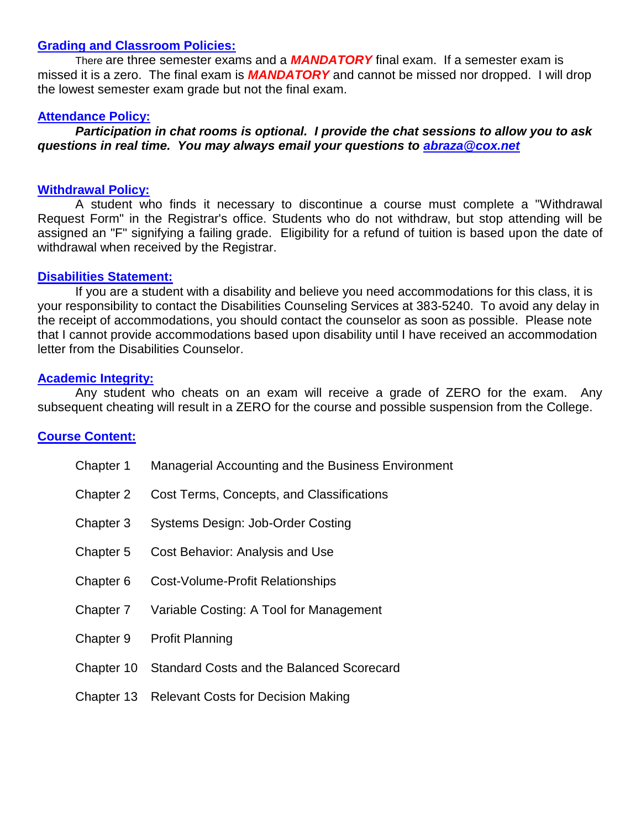### **Grading and Classroom Policies:**

There are three semester exams and a *MANDATORY* final exam. If a semester exam is missed it is a zero. The final exam is *MANDATORY* and cannot be missed nor dropped. I will drop the lowest semester exam grade but not the final exam.

#### **Attendance Policy:**

*Participation in chat rooms is optional. I provide the chat sessions to allow you to ask questions in real time. You may always email your questions to [abraza@cox.net](mailto:abraza@cox.net)*

#### **Withdrawal Policy:**

A student who finds it necessary to discontinue a course must complete a "Withdrawal Request Form" in the Registrar's office. Students who do not withdraw, but stop attending will be assigned an "F" signifying a failing grade. Eligibility for a refund of tuition is based upon the date of withdrawal when received by the Registrar.

#### **Disabilities Statement:**

If you are a student with a disability and believe you need accommodations for this class, it is your responsibility to contact the Disabilities Counseling Services at 383-5240. To avoid any delay in the receipt of accommodations, you should contact the counselor as soon as possible. Please note that I cannot provide accommodations based upon disability until I have received an accommodation letter from the Disabilities Counselor.

### **Academic Integrity:**

Any student who cheats on an exam will receive a grade of ZERO for the exam. Any subsequent cheating will result in a ZERO for the course and possible suspension from the College.

## **Course Content:**

| Chapter 1  | Managerial Accounting and the Business Environment |
|------------|----------------------------------------------------|
| Chapter 2  | Cost Terms, Concepts, and Classifications          |
| Chapter 3  | <b>Systems Design: Job-Order Costing</b>           |
| Chapter 5  | Cost Behavior: Analysis and Use                    |
| Chapter 6  | Cost-Volume-Profit Relationships                   |
| Chapter 7  | Variable Costing: A Tool for Management            |
| Chapter 9  | <b>Profit Planning</b>                             |
| Chapter 10 | <b>Standard Costs and the Balanced Scorecard</b>   |
| Chapter 13 | <b>Relevant Costs for Decision Making</b>          |